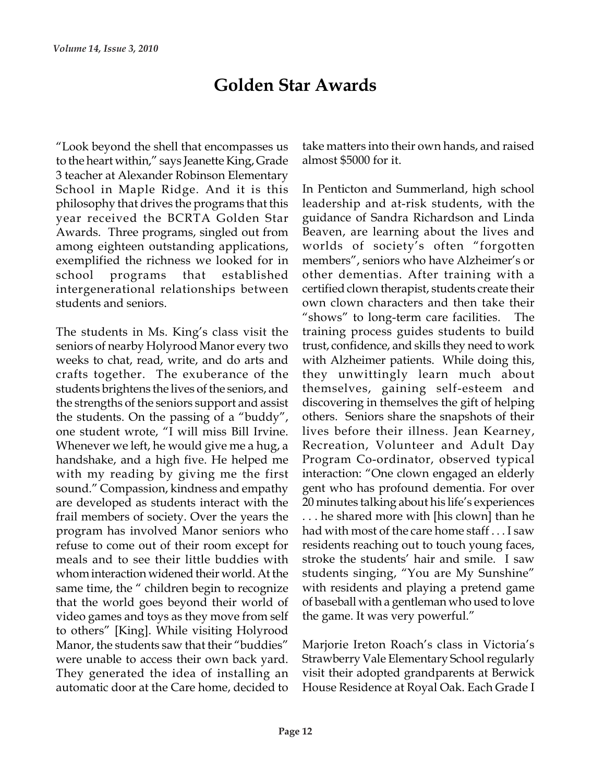## Golden Star Awards

"Look beyond the shell that encompasses us to the heart within," says Jeanette King, Grade 3 teacher at Alexander Robinson Elementary School in Maple Ridge. And it is this philosophy that drives the programs that this year received the BCRTA Golden Star Awards. Three programs, singled out from among eighteen outstanding applications, exemplified the richness we looked for in intergenerational relationships between students and seniors.

The students in Ms. King's class visit the seniors of nearby Holyrood Manor every two weeks to chat, read, write, and do arts and crafts together. The exuberance of the students brightens the lives of the seniors, and the strengths of the seniors support and assist the students. On the passing of a "buddy", one student wrote, "I will miss Bill Irvine. Whenever we left, he would give me a hug, a handshake, and a high five. He helped me with my reading by giving me the first sound." Compassion, kindness and empathy are developed as students interact with the frail members of society. Over the years the program has involved Manor seniors who refuse to come out of their room except for meals and to see their little buddies with whom interaction widened their world. At the same time, the " children begin to recognize that the world goes beyond their world of video games and toys as they move from self to others" [King]. While visiting Holyrood Manor, the students saw that their "buddies" were unable to access their own back yard. They generated the idea of installing an automatic door at the Care home, decided to

take matters into their own hands, and raised almost \$5000 for it.

In Penticton and Summerland, high school leadership and at-risk students, with the guidance of Sandra Richardson and Linda Beaven, are learning about the lives and worlds of society's often "forgotten members", seniors who have Alzheimer's or school programs that established other-dementias. After-training-with-a certified clown therapist, students create their own clown characters and then take their "shows" to long-term care facilities. The training process guides students to build trust, confidence, and skills they need to work with Alzheimer patients. While doing this, they unwittingly learn much about themselves, gaining self-esteem and discovering in themselves the gift of helping others. Seniors share the snapshots of their lives before their illness. Jean Kearney, Recreation, Volunteer and Adult Day Program Co-ordinator, observed typical interaction: "One clown engaged an elderly gent who has profound dementia. For over 20 minutes talking about his life's experiences . . . he shared more with [his clown] than he had with most of the care home staff . . . I saw residents reaching out to touch young faces, stroke the students' hair and smile. I saw students singing, "You are My Sunshine" with residents and playing a pretend game of baseball with a gentleman who used to love the game. It was very powerful."

> Marjorie Ireton Roach's class in Victoria's Strawberry Vale Elementary School regularly visit their adopted grandparents at Berwick House Residence at Royal Oak. Each Grade I